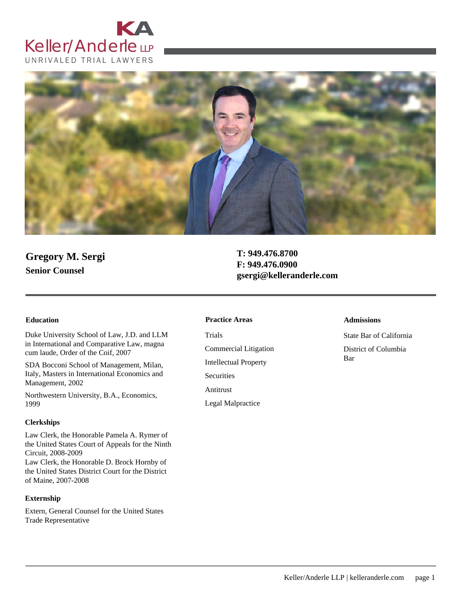



# **Gregory M. Sergi Senior Counsel**

**T: 949.476.8700 F: 949.476.0900 gsergi@kelleranderle.com**

Duke University School of Law, J.D. and LLM in International and Comparative Law, magna cum laude, Order of the Coif, 2007

SDA Bocconi School of Management, Milan, Italy, Masters in International Economics and Management, 2002

Northwestern University, B.A., Economics, 1999

### **Clerkships**

Law Clerk, the Honorable Pamela A. Rymer of the United States Court of Appeals for the Ninth Circuit, 2008-2009 Law Clerk, the Honorable D. Brock Hornby of the United States District Court for the District of Maine, 2007-2008

### **Externship**

Extern, General Counsel for the United States Trade Representative

### **Education Admissions Practice Areas**

Trials Commercial Litigation Intellectual Property **Securities** Antitrust Legal Malpractice

State Bar of California District of Columbia Bar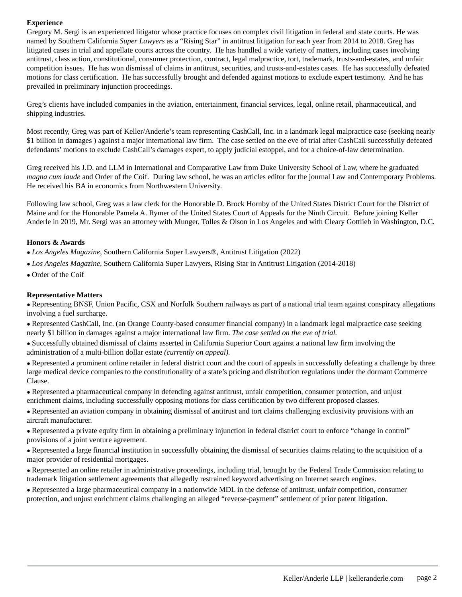### **Experience**

Gregory M. Sergi is an experienced litigator whose practice focuses on complex civil litigation in federal and state courts. He was named by Southern California *Super Lawyers* as a "Rising Star" in antitrust litigation for each year from 2014 to 2018. Greg has litigated cases in trial and appellate courts across the country. He has handled a wide variety of matters, including cases involving antitrust, class action, constitutional, consumer protection, contract, legal malpractice, tort, trademark, trusts-and-estates, and unfair competition issues. He has won dismissal of claims in antitrust, securities, and trusts-and-estates cases. He has successfully defeated motions for class certification. He has successfully brought and defended against motions to exclude expert testimony. And he has prevailed in preliminary injunction proceedings.

Greg's clients have included companies in the aviation, entertainment, financial services, legal, online retail, pharmaceutical, and shipping industries.

Most recently, Greg was part of Keller/Anderle's team representing CashCall, Inc. in a landmark legal malpractice case (seeking nearly \$1 billion in damages ) against a major international law firm. The case settled on the eve of trial after CashCall successfully defeated defendants' motions to exclude CashCall's damages expert, to apply judicial estoppel, and for a choice-of-law determination.

Greg received his J.D. and LLM in International and Comparative Law from Duke University School of Law, where he graduated *magna cum laude* and Order of the Coif. During law school, he was an articles editor for the journal Law and Contemporary Problems. He received his BA in economics from Northwestern University.

Following law school, Greg was a law clerk for the Honorable D. Brock Hornby of the United States District Court for the District of Maine and for the Honorable Pamela A. Rymer of the United States Court of Appeals for the Ninth Circuit. Before joining Keller Anderle in 2019, Mr. Sergi was an attorney with Munger, Tolles & Olson in Los Angeles and with Cleary Gottlieb in Washington, D.C.

### **Honors & Awards**

- *● Los Angeles Magazine,* Southern California Super Lawyers®, Antitrust Litigation (2022)
- *● Los Angeles Magazine,* Southern California Super Lawyers, Rising Star in Antitrust Litigation (2014-2018)
- *●* Order of the Coif

### **Representative Matters**

*●* Representing BNSF, Union Pacific, CSX and Norfolk Southern railways as part of a national trial team against conspiracy allegations involving a fuel surcharge.

*●* Represented CashCall, Inc. (an Orange County-based consumer financial company) in a landmark legal malpractice case seeking nearly \$1 billion in damages against a major international law firm. *The case settled on the eve of trial.*

*●* Successfully obtained dismissal of claims asserted in California Superior Court against a national law firm involving the administration of a multi-billion dollar estate *(currently on appeal).*

*●* Represented a prominent online retailer in federal district court and the court of appeals in successfully defeating a challenge by three large medical device companies to the constitutionality of a state's pricing and distribution regulations under the dormant Commerce Clause.

*●* Represented a pharmaceutical company in defending against antitrust, unfair competition, consumer protection, and unjust enrichment claims, including successfully opposing motions for class certification by two different proposed classes.

*●* Represented an aviation company in obtaining dismissal of antitrust and tort claims challenging exclusivity provisions with an aircraft manufacturer.

*●* Represented a private equity firm in obtaining a preliminary injunction in federal district court to enforce "change in control" provisions of a joint venture agreement.

*●* Represented a large financial institution in successfully obtaining the dismissal of securities claims relating to the acquisition of a major provider of residential mortgages.

*●* Represented an online retailer in administrative proceedings, including trial, brought by the Federal Trade Commission relating to trademark litigation settlement agreements that allegedly restrained keyword advertising on Internet search engines.

*●* Represented a large pharmaceutical company in a nationwide MDL in the defense of antitrust, unfair competition, consumer protection, and unjust enrichment claims challenging an alleged "reverse-payment" settlement of prior patent litigation.